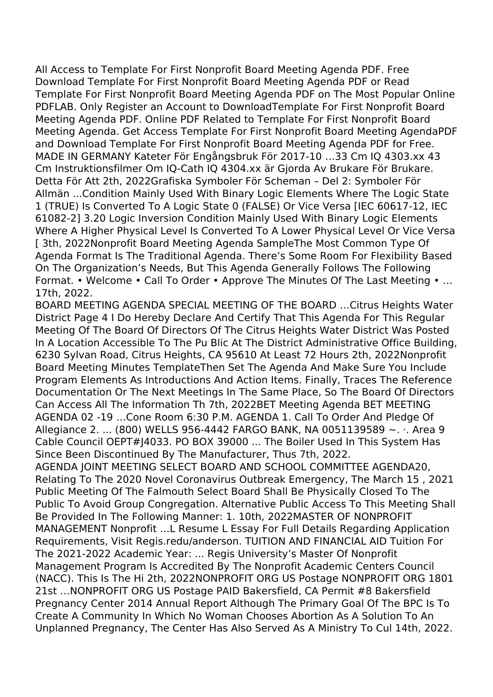All Access to Template For First Nonprofit Board Meeting Agenda PDF. Free Download Template For First Nonprofit Board Meeting Agenda PDF or Read Template For First Nonprofit Board Meeting Agenda PDF on The Most Popular Online PDFLAB. Only Register an Account to DownloadTemplate For First Nonprofit Board Meeting Agenda PDF. Online PDF Related to Template For First Nonprofit Board Meeting Agenda. Get Access Template For First Nonprofit Board Meeting AgendaPDF and Download Template For First Nonprofit Board Meeting Agenda PDF for Free. MADE IN GERMANY Kateter För Engångsbruk För 2017-10 …33 Cm IQ 4303.xx 43 Cm Instruktionsfilmer Om IQ-Cath IQ 4304.xx är Gjorda Av Brukare För Brukare. Detta För Att 2th, 2022Grafiska Symboler För Scheman – Del 2: Symboler För Allmän ...Condition Mainly Used With Binary Logic Elements Where The Logic State 1 (TRUE) Is Converted To A Logic State 0 (FALSE) Or Vice Versa [IEC 60617-12, IEC 61082-2] 3.20 Logic Inversion Condition Mainly Used With Binary Logic Elements Where A Higher Physical Level Is Converted To A Lower Physical Level Or Vice Versa [ 3th, 2022 Nonprofit Board Meeting Agenda SampleThe Most Common Type Of Agenda Format Is The Traditional Agenda. There's Some Room For Flexibility Based On The Organization's Needs, But This Agenda Generally Follows The Following Format. • Welcome • Call To Order • Approve The Minutes Of The Last Meeting • … 17th, 2022.

BOARD MEETING AGENDA SPECIAL MEETING OF THE BOARD …Citrus Heights Water District Page 4 I Do Hereby Declare And Certify That This Agenda For This Regular Meeting Of The Board Of Directors Of The Citrus Heights Water District Was Posted In A Location Accessible To The Pu Blic At The District Administrative Office Building, 6230 Sylvan Road, Citrus Heights, CA 95610 At Least 72 Hours 2th, 2022Nonprofit Board Meeting Minutes TemplateThen Set The Agenda And Make Sure You Include Program Elements As Introductions And Action Items. Finally, Traces The Reference Documentation Or The Next Meetings In The Same Place, So The Board Of Directors Can Access All The Information Th 7th, 2022BET Meeting Agenda BET MEETING AGENDA 02 -19 …Cone Room 6:30 P.M. AGENDA 1. Call To Order And Pledge Of Allegiance 2. ... (800) WELLS 956-4442 FARGO BANK, NA 0051139589 ~. ·. Area 9 Cable Council OEPT#J4033. PO BOX 39000 ... The Boiler Used In This System Has Since Been Discontinued By The Manufacturer, Thus 7th, 2022. AGENDA JOINT MEETING SELECT BOARD AND SCHOOL COMMITTEE AGENDA20,

Relating To The 2020 Novel Coronavirus Outbreak Emergency, The March 15 , 2021 Public Meeting Of The Falmouth Select Board Shall Be Physically Closed To The Public To Avoid Group Congregation. Alternative Public Access To This Meeting Shall Be Provided In The Following Manner: 1. 10th, 2022MASTER OF NONPROFIT MANAGEMENT Nonprofit …L Resume L Essay For Full Details Regarding Application Requirements, Visit Regis.redu/anderson. TUITION AND FINANCIAL AID Tuition For The 2021-2022 Academic Year: ... Regis University's Master Of Nonprofit Management Program Is Accredited By The Nonprofit Academic Centers Council (NACC). This Is The Hi 2th, 2022NONPROFIT ORG US Postage NONPROFIT ORG 1801 21st …NONPROFIT ORG US Postage PAID Bakersfield, CA Permit #8 Bakersfield Pregnancy Center 2014 Annual Report Although The Primary Goal Of The BPC Is To Create A Community In Which No Woman Chooses Abortion As A Solution To An Unplanned Pregnancy, The Center Has Also Served As A Ministry To Cul 14th, 2022.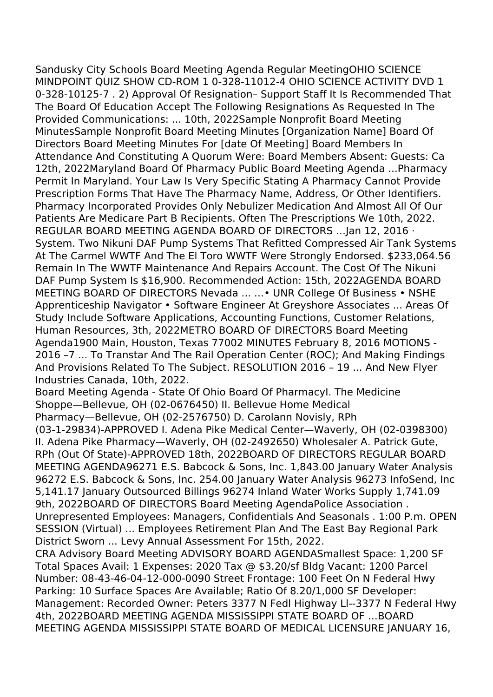Sandusky City Schools Board Meeting Agenda Regular MeetingOHIO SCIENCE MINDPOINT QUIZ SHOW CD-ROM 1 0-328-11012-4 OHIO SCIENCE ACTIVITY DVD 1 0-328-10125-7 . 2) Approval Of Resignation– Support Staff It Is Recommended That The Board Of Education Accept The Following Resignations As Requested In The Provided Communications: ... 10th, 2022Sample Nonprofit Board Meeting MinutesSample Nonprofit Board Meeting Minutes [Organization Name] Board Of Directors Board Meeting Minutes For [date Of Meeting] Board Members In Attendance And Constituting A Quorum Were: Board Members Absent: Guests: Ca 12th, 2022Maryland Board Of Pharmacy Public Board Meeting Agenda ...Pharmacy Permit In Maryland. Your Law Is Very Specific Stating A Pharmacy Cannot Provide Prescription Forms That Have The Pharmacy Name, Address, Or Other Identifiers. Pharmacy Incorporated Provides Only Nebulizer Medication And Almost All Of Our Patients Are Medicare Part B Recipients. Often The Prescriptions We 10th, 2022. REGULAR BOARD MEETING AGENDA BOARD OF DIRECTORS …Jan 12, 2016 · System. Two Nikuni DAF Pump Systems That Refitted Compressed Air Tank Systems At The Carmel WWTF And The El Toro WWTF Were Strongly Endorsed. \$233,064.56 Remain In The WWTF Maintenance And Repairs Account. The Cost Of The Nikuni DAF Pump System Is \$16,900. Recommended Action: 15th, 2022AGENDA BOARD MEETING BOARD OF DIRECTORS Nevada ... …• UNR College Of Business • NSHE Apprenticeship Navigator • Software Engineer At Greyshore Associates ... Areas Of Study Include Software Applications, Accounting Functions, Customer Relations, Human Resources, 3th, 2022METRO BOARD OF DIRECTORS Board Meeting Agenda1900 Main, Houston, Texas 77002 MINUTES February 8, 2016 MOTIONS - 2016 –7 ... To Transtar And The Rail Operation Center (ROC); And Making Findings And Provisions Related To The Subject. RESOLUTION 2016 – 19 ... And New Flyer Industries Canada, 10th, 2022.

Board Meeting Agenda - State Of Ohio Board Of PharmacyI. The Medicine Shoppe—Bellevue, OH (02-0676450) II. Bellevue Home Medical Pharmacy—Bellevue, OH (02-2576750) D. Carolann Novisly, RPh (03-1-29834)-APPROVED I. Adena Pike Medical Center—Waverly, OH (02-0398300) II. Adena Pike Pharmacy—Waverly, OH (02-2492650) Wholesaler A. Patrick Gute, RPh (Out Of State)-APPROVED 18th, 2022BOARD OF DIRECTORS REGULAR BOARD MEETING AGENDA96271 E.S. Babcock & Sons, Inc. 1,843.00 January Water Analysis 96272 E.S. Babcock & Sons, Inc. 254.00 January Water Analysis 96273 InfoSend, Inc 5,141.17 January Outsourced Billings 96274 Inland Water Works Supply 1,741.09 9th, 2022BOARD OF DIRECTORS Board Meeting AgendaPolice Association . Unrepresented Employees: Managers, Confidentials And Seasonals . 1:00 P.m. OPEN SESSION (Virtual) ... Employees Retirement Plan And The East Bay Regional Park District Sworn ... Levy Annual Assessment For 15th, 2022.

CRA Advisory Board Meeting ADVISORY BOARD AGENDASmallest Space: 1,200 SF Total Spaces Avail: 1 Expenses: 2020 Tax @ \$3.20/sf Bldg Vacant: 1200 Parcel Number: 08-43-46-04-12-000-0090 Street Frontage: 100 Feet On N Federal Hwy Parking: 10 Surface Spaces Are Available; Ratio Of 8.20/1,000 SF Developer: Management: Recorded Owner: Peters 3377 N Fedl Highway Ll--3377 N Federal Hwy 4th, 2022BOARD MEETING AGENDA MISSISSIPPI STATE BOARD OF …BOARD MEETING AGENDA MISSISSIPPI STATE BOARD OF MEDICAL LICENSURE JANUARY 16,